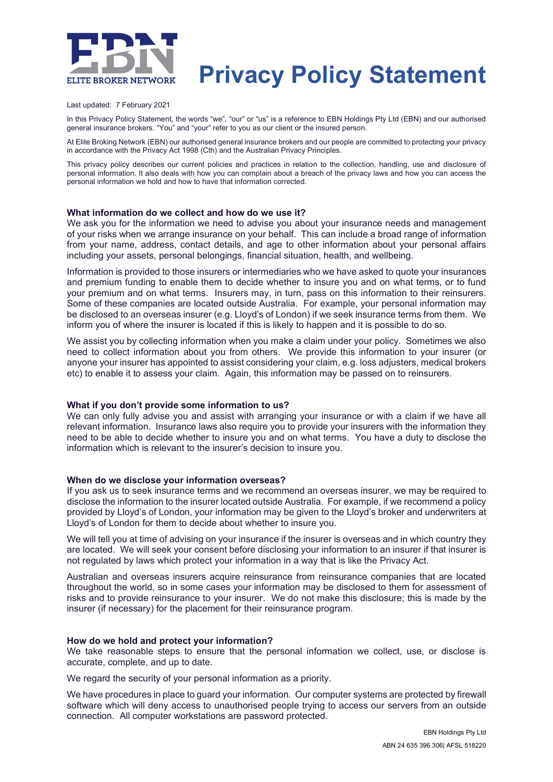

# **Privacy Policy Statement**

Last updated: 7 February 2021

In this Privacy Policy Statement, the words "we", "our" or "us" is a reference to EBN Holdings Pty Ltd (EBN) and our authorised general insurance brokers. "You" and "your" refer to you as our client or the insured person.

At Elite Broking Network (EBN) our authorised general insurance brokers and our people are committed to protecting your privacy in accordance with the Privacy Act 1998 (Cth) and the Australian Privacy Principles.

This privacy policy describes our current policies and practices in relation to the collection, handling, use and disclosure of personal information. It also deals with how you can complain about a breach of the privacy laws and how you can access the personal information we hold and how to have that information corrected.

## **What information do we collect and how do we use it?**

We ask you for the information we need to advise you about your insurance needs and management of your risks when we arrange insurance on your behalf. This can include a broad range of information from your name, address, contact details, and age to other information about your personal affairs including your assets, personal belongings, financial situation, health, and wellbeing.

Information is provided to those insurers or intermediaries who we have asked to quote your insurances and premium funding to enable them to decide whether to insure you and on what terms, or to fund your premium and on what terms. Insurers may, in turn, pass on this information to their reinsurers. Some of these companies are located outside Australia. For example, your personal information may be disclosed to an overseas insurer (e.g. Lloyd's of London) if we seek insurance terms from them. We inform you of where the insurer is located if this is likely to happen and it is possible to do so.

We assist you by collecting information when you make a claim under your policy. Sometimes we also need to collect information about you from others. We provide this information to your insurer (or anyone your insurer has appointed to assist considering your claim, e.g. loss adjusters, medical brokers etc) to enable it to assess your claim. Again, this information may be passed on to reinsurers.

#### **What if you don't provide some information to us?**

We can only fully advise you and assist with arranging your insurance or with a claim if we have all relevant information. Insurance laws also require you to provide your insurers with the information they need to be able to decide whether to insure you and on what terms. You have a duty to disclose the information which is relevant to the insurer's decision to insure you.

#### **When do we disclose your information overseas?**

If you ask us to seek insurance terms and we recommend an overseas insurer, we may be required to disclose the information to the insurer located outside Australia. For example, if we recommend a policy provided by Lloyd's of London, your information may be given to the Lloyd's broker and underwriters at Lloyd's of London for them to decide about whether to insure you.

We will tell you at time of advising on your insurance if the insurer is overseas and in which country they are located. We will seek your consent before disclosing your information to an insurer if that insurer is not regulated by laws which protect your information in a way that is like the Privacy Act.

Australian and overseas insurers acquire reinsurance from reinsurance companies that are located throughout the world, so in some cases your information may be disclosed to them for assessment of risks and to provide reinsurance to your insurer. We do not make this disclosure; this is made by the insurer (if necessary) for the placement for their reinsurance program.

#### **How do we hold and protect your information?**

We take reasonable steps to ensure that the personal information we collect, use, or disclose is accurate, complete, and up to date.

We regard the security of your personal information as a priority.

We have procedures in place to guard your information. Our computer systems are protected by firewall software which will deny access to unauthorised people trying to access our servers from an outside connection. All computer workstations are password protected.